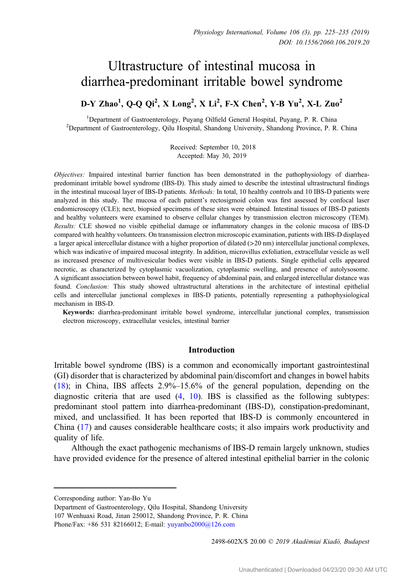# Ultrastructure of intestinal mucosa in diarrhea-predominant irritable bowel syndrome

D-Y Zhao<sup>1</sup>, Q-Q Qi<sup>2</sup>, X Long<sup>2</sup>, X Li<sup>2</sup>, F-X Chen<sup>2</sup>, Y-B Yu<sup>2</sup>, X-L Zuo<sup>2</sup>

<sup>1</sup>Department of Gastroenterology, Puyang Oilfield General Hospital, Puyang, P. R. China<br><sup>2</sup>Department of Gastroenterology, Oilu Hospital, Shandong University, Shandong Province, P. R. <sup>2</sup>Department of Gastroenterology, Qilu Hospital, Shandong University, Shandong Province, P. R. China

> Received: September 10, 2018 Accepted: May 30, 2019

Objectives: Impaired intestinal barrier function has been demonstrated in the pathophysiology of diarrheapredominant irritable bowel syndrome (IBS-D). This study aimed to describe the intestinal ultrastructural findings in the intestinal mucosal layer of IBS-D patients. Methods: In total, 10 healthy controls and 10 IBS-D patients were analyzed in this study. The mucosa of each patient's rectosigmoid colon was first assessed by confocal laser endomicroscopy (CLE); next, biopsied specimens of these sites were obtained. Intestinal tissues of IBS-D patients and healthy volunteers were examined to observe cellular changes by transmission electron microscopy (TEM). Results: CLE showed no visible epithelial damage or inflammatory changes in the colonic mucosa of IBS-D compared with healthy volunteers. On transmission electron microscopic examination, patients with IBS-D displayed a larger apical intercellular distance with a higher proportion of dilated  $(>20 \text{ nm})$  intercellular junctional complexes, which was indicative of impaired mucosal integrity. In addition, microvillus exfoliation, extracellular vesicle as well as increased presence of multivesicular bodies were visible in IBS-D patients. Single epithelial cells appeared necrotic, as characterized by cytoplasmic vacuolization, cytoplasmic swelling, and presence of autolysosome. A significant association between bowel habit, frequency of abdominal pain, and enlarged intercellular distance was found. Conclusion: This study showed ultrastructural alterations in the architecture of intestinal epithelial cells and intercellular junctional complexes in IBS-D patients, potentially representing a pathophysiological mechanism in IBS-D.

Keywords: diarrhea-predominant irritable bowel syndrome, intercellular junctional complex, transmission electron microscopy, extracellular vesicles, intestinal barrier

### Introduction

Irritable bowel syndrome (IBS) is a common and economically important gastrointestinal (GI) disorder that is characterized by abdominal pain/discomfort and changes in bowel habits [\(18](#page-9-0)); in China, IBS affects 2.9%–15.6% of the general population, depending on the diagnostic criteria that are used  $(4, 10)$  $(4, 10)$  $(4, 10)$  $(4, 10)$ . IBS is classified as the following subtypes: predominant stool pattern into diarrhea-predominant (IBS-D), constipation-predominant, mixed, and unclassified. It has been reported that IBS-D is commonly encountered in China [\(17](#page-9-0)) and causes considerable healthcare costs; it also impairs work productivity and quality of life.

Although the exact pathogenic mechanisms of IBS-D remain largely unknown, studies have provided evidence for the presence of altered intestinal epithelial barrier in the colonic

2498-602X/\$ 20.00 © 2019 Akadémiai Kiadó, Budapest

Corresponding author: Yan-Bo Yu

Department of Gastroenterology, Qilu Hospital, Shandong University

<sup>107</sup> Wenhuaxi Road, Jinan 250012, Shandong Province, P. R. China

Phone/Fax: +86 531 82166012; E-mail: [yuyanbo2000@126.com](mailto:yuyanbo2000@126.com)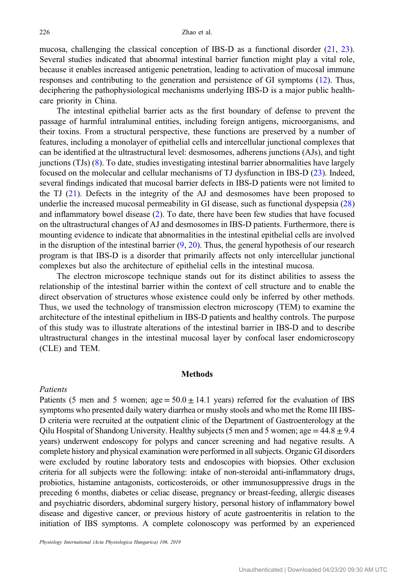mucosa, challenging the classical conception of IBS-D as a functional disorder ([21,](#page-9-0) [23](#page-10-0)). Several studies indicated that abnormal intestinal barrier function might play a vital role, because it enables increased antigenic penetration, leading to activation of mucosal immune responses and contributing to the generation and persistence of GI symptoms [\(12](#page-9-0)). Thus, deciphering the pathophysiological mechanisms underlying IBS-D is a major public healthcare priority in China.

The intestinal epithelial barrier acts as the first boundary of defense to prevent the passage of harmful intraluminal entities, including foreign antigens, microorganisms, and their toxins. From a structural perspective, these functions are preserved by a number of features, including a monolayer of epithelial cells and intercellular junctional complexes that can be identified at the ultrastructural level: desmosomes, adherens junctions (AJs), and tight junctions (TJs) [\(8](#page-9-0)). To date, studies investigating intestinal barrier abnormalities have largely focused on the molecular and cellular mechanisms of TJ dysfunction in IBS-D [\(23](#page-10-0)). Indeed, several findings indicated that mucosal barrier defects in IBS-D patients were not limited to the TJ ([21\)](#page-9-0). Defects in the integrity of the AJ and desmosomes have been proposed to underlie the increased mucosal permeability in GI disease, such as functional dyspepsia ([28\)](#page-10-0) and inflammatory bowel disease ([2\)](#page-9-0). To date, there have been few studies that have focused on the ultrastructural changes of AJ and desmosomes in IBS-D patients. Furthermore, there is mounting evidence to indicate that abnormalities in the intestinal epithelial cells are involved in the disruption of the intestinal barrier  $(9, 20)$  $(9, 20)$  $(9, 20)$  $(9, 20)$ . Thus, the general hypothesis of our research program is that IBS-D is a disorder that primarily affects not only intercellular junctional complexes but also the architecture of epithelial cells in the intestinal mucosa.

The electron microscope technique stands out for its distinct abilities to assess the relationship of the intestinal barrier within the context of cell structure and to enable the direct observation of structures whose existence could only be inferred by other methods. Thus, we used the technology of transmission electron microscopy (TEM) to examine the architecture of the intestinal epithelium in IBS-D patients and healthy controls. The purpose of this study was to illustrate alterations of the intestinal barrier in IBS-D and to describe ultrastructural changes in the intestinal mucosal layer by confocal laser endomicroscopy (CLE) and TEM.

#### Methods

#### Patients

Patients (5 men and 5 women;  $age = 50.0 \pm 14.1$  years) referred for the evaluation of IBS symptoms who presented daily watery diarrhea or mushy stools and who met the Rome III IBS-D criteria were recruited at the outpatient clinic of the Department of Gastroenterology at the Qilu Hospital of Shandong University. Healthy subjects (5 men and 5 women; age  $= 44.8 \pm 9.4$ years) underwent endoscopy for polyps and cancer screening and had negative results. A complete history and physical examination were performed in all subjects. Organic GI disorders were excluded by routine laboratory tests and endoscopies with biopsies. Other exclusion criteria for all subjects were the following: intake of non-steroidal anti-inflammatory drugs, probiotics, histamine antagonists, corticosteroids, or other immunosuppressive drugs in the preceding 6 months, diabetes or celiac disease, pregnancy or breast-feeding, allergic diseases and psychiatric disorders, abdominal surgery history, personal history of inflammatory bowel disease and digestive cancer, or previous history of acute gastroenteritis in relation to the initiation of IBS symptoms. A complete colonoscopy was performed by an experienced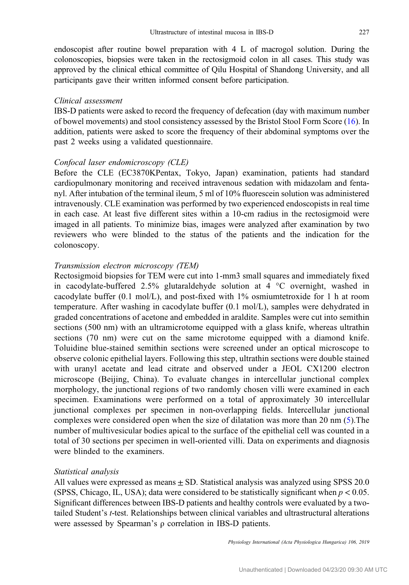endoscopist after routine bowel preparation with 4 L of macrogol solution. During the colonoscopies, biopsies were taken in the rectosigmoid colon in all cases. This study was approved by the clinical ethical committee of Qilu Hospital of Shandong University, and all participants gave their written informed consent before participation.

### Clinical assessment

IBS-D patients were asked to record the frequency of defecation (day with maximum number of bowel movements) and stool consistency assessed by the Bristol Stool Form Score ([16\)](#page-9-0). In addition, patients were asked to score the frequency of their abdominal symptoms over the past 2 weeks using a validated questionnaire.

### Confocal laser endomicroscopy (CLE)

Before the CLE (EC3870KPentax, Tokyo, Japan) examination, patients had standard cardiopulmonary monitoring and received intravenous sedation with midazolam and fentanyl. After intubation of the terminal ileum, 5 ml of 10% fluorescein solution was administered intravenously. CLE examination was performed by two experienced endoscopists in real time in each case. At least five different sites within a 10-cm radius in the rectosigmoid were imaged in all patients. To minimize bias, images were analyzed after examination by two reviewers who were blinded to the status of the patients and the indication for the colonoscopy.

## Transmission electron microscopy (TEM)

Rectosigmoid biopsies for TEM were cut into 1-mm3 small squares and immediately fixed in cacodylate-buffered 2.5% glutaraldehyde solution at 4  $\degree$ C overnight, washed in cacodylate buffer (0.1 mol/L), and post-fixed with 1% osmiumtetroxide for 1 h at room temperature. After washing in cacodylate buffer (0.1 mol/L), samples were dehydrated in graded concentrations of acetone and embedded in araldite. Samples were cut into semithin sections (500 nm) with an ultramicrotome equipped with a glass knife, whereas ultrathin sections (70 nm) were cut on the same microtome equipped with a diamond knife. Toluidine blue-stained semithin sections were screened under an optical microscope to observe colonic epithelial layers. Following this step, ultrathin sections were double stained with uranyl acetate and lead citrate and observed under a JEOL CX1200 electron microscope (Beijing, China). To evaluate changes in intercellular junctional complex morphology, the junctional regions of two randomly chosen villi were examined in each specimen. Examinations were performed on a total of approximately 30 intercellular junctional complexes per specimen in non-overlapping fields. Intercellular junctional complexes were considered open when the size of dilatation was more than 20 nm [\(5](#page-9-0)).The number of multivesicular bodies apical to the surface of the epithelial cell was counted in a total of 30 sections per specimen in well-oriented villi. Data on experiments and diagnosis were blinded to the examiners.

### Statistical analysis

All values were expressed as means  $\pm$  SD. Statistical analysis was analyzed using SPSS 20.0 (SPSS, Chicago, IL, USA); data were considered to be statistically significant when  $p < 0.05$ . Significant differences between IBS-D patients and healthy controls were evaluated by a twotailed Student's t-test. Relationships between clinical variables and ultrastructural alterations were assessed by Spearman's ρ correlation in IBS-D patients.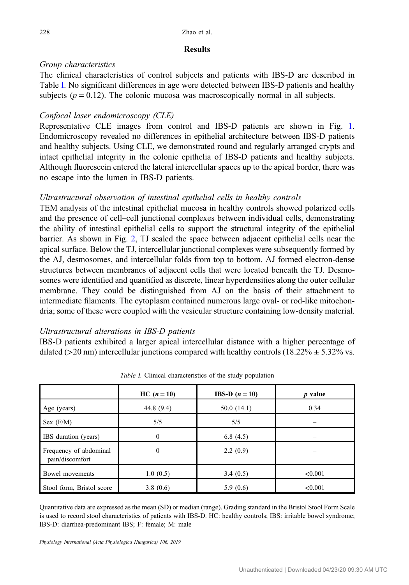### Results

# Group characteristics

The clinical characteristics of control subjects and patients with IBS-D are described in Table I. No significant differences in age were detected between IBS-D patients and healthy subjects ( $p = 0.12$ ). The colonic mucosa was macroscopically normal in all subjects.

# Confocal laser endomicroscopy (CLE)

Representative CLE images from control and IBS-D patients are shown in Fig. [1](#page-4-0). Endomicroscopy revealed no differences in epithelial architecture between IBS-D patients and healthy subjects. Using CLE, we demonstrated round and regularly arranged crypts and intact epithelial integrity in the colonic epithelia of IBS-D patients and healthy subjects. Although fluorescein entered the lateral intercellular spaces up to the apical border, there was no escape into the lumen in IBS-D patients.

# Ultrastructural observation of intestinal epithelial cells in healthy controls

TEM analysis of the intestinal epithelial mucosa in healthy controls showed polarized cells and the presence of cell–cell junctional complexes between individual cells, demonstrating the ability of intestinal epithelial cells to support the structural integrity of the epithelial barrier. As shown in Fig. [2](#page-4-0), TJ sealed the space between adjacent epithelial cells near the apical surface. Below the TJ, intercellular junctional complexes were subsequently formed by the AJ, desmosomes, and intercellular folds from top to bottom. AJ formed electron-dense structures between membranes of adjacent cells that were located beneath the TJ. Desmosomes were identified and quantified as discrete, linear hyperdensities along the outer cellular membrane. They could be distinguished from AJ on the basis of their attachment to intermediate filaments. The cytoplasm contained numerous large oval- or rod-like mitochondria; some of these were coupled with the vesicular structure containing low-density material.

### Ultrastructural alterations in IBS-D patients

IBS-D patients exhibited a larger apical intercellular distance with a higher percentage of dilated ( $>20$  nm) intercellular junctions compared with healthy controls ( $18.22\% \pm 5.32\%$  vs.

|                                           | $HC (n = 10)$ | <b>IBS-D</b> $(n = 10)$ | $p$ value |
|-------------------------------------------|---------------|-------------------------|-----------|
| Age (years)                               | 44.8 (9.4)    | 50.0(14.1)              | 0.34      |
| Sex (F/M)                                 | 5/5           | 5/5                     |           |
| IBS duration (years)                      | $\Omega$      | 6.8(4.5)                |           |
| Frequency of abdominal<br>pain/discomfort | 0             | 2.2(0.9)                |           |
| Bowel movements                           | 1.0(0.5)      | 3.4(0.5)                | < 0.001   |
| Stool form, Bristol score                 | 3.8(0.6)      | 5.9(0.6)                | < 0.001   |

Table I. Clinical characteristics of the study population

Quantitative data are expressed as the mean (SD) or median (range). Grading standard in the Bristol Stool Form Scale is used to record stool characteristics of patients with IBS-D. HC: healthy controls; IBS: irritable bowel syndrome; IBS-D: diarrhea-predominant IBS; F: female; M: male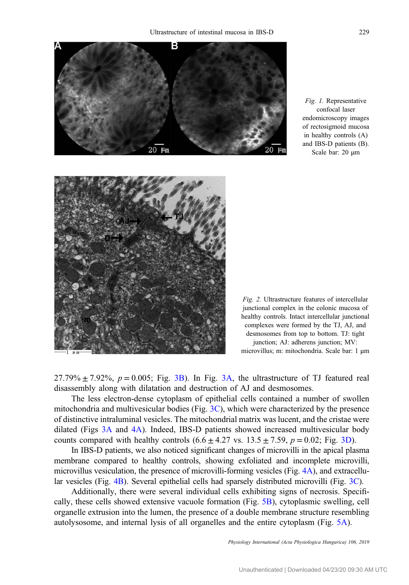<span id="page-4-0"></span>





Fig. 2. Ultrastructure features of intercellular junctional complex in the colonic mucosa of healthy controls. Intact intercellular junctional complexes were formed by the TJ, AJ, and desmosomes from top to bottom. TJ: tight junction; AJ: adherens junction; MV:

microvillus; m: mitochondria. Scale bar: 1 μm

27.79%  $\pm$  7.92%,  $p = 0.005$ ; Fig. [3B\)](#page-5-0). In Fig. [3A](#page-5-0), the ultrastructure of TJ featured real disassembly along with dilatation and destruction of AJ and desmosomes.

The less electron-dense cytoplasm of epithelial cells contained a number of swollen mitochondria and multivesicular bodies (Fig. [3C](#page-5-0)), which were characterized by the presence of distinctive intraluminal vesicles. The mitochondrial matrix was lucent, and the cristae were dilated (Figs [3A](#page-5-0) and [4A](#page-5-0)). Indeed, IBS-D patients showed increased multivesicular body counts compared with healthy controls  $(6.6 \pm 4.27 \text{ vs. } 13.5 \pm 7.59, p = 0.02; \text{ Fig. 3D}).$  $(6.6 \pm 4.27 \text{ vs. } 13.5 \pm 7.59, p = 0.02; \text{ Fig. 3D}).$  $(6.6 \pm 4.27 \text{ vs. } 13.5 \pm 7.59, p = 0.02; \text{ Fig. 3D}).$ 

In IBS-D patients, we also noticed significant changes of microvilli in the apical plasma membrane compared to healthy controls, showing exfoliated and incomplete microvilli, microvillus vesiculation, the presence of microvilli-forming vesicles (Fig. [4A\)](#page-5-0), and extracellular vesicles (Fig. [4B\)](#page-5-0). Several epithelial cells had sparsely distributed microvilli (Fig. [3C\)](#page-5-0).

Additionally, there were several individual cells exhibiting signs of necrosis. Specifically, these cells showed extensive vacuole formation (Fig. [5B\)](#page-6-0), cytoplasmic swelling, cell organelle extrusion into the lumen, the presence of a double membrane structure resembling autolysosome, and internal lysis of all organelles and the entire cytoplasm (Fig. [5A](#page-6-0)).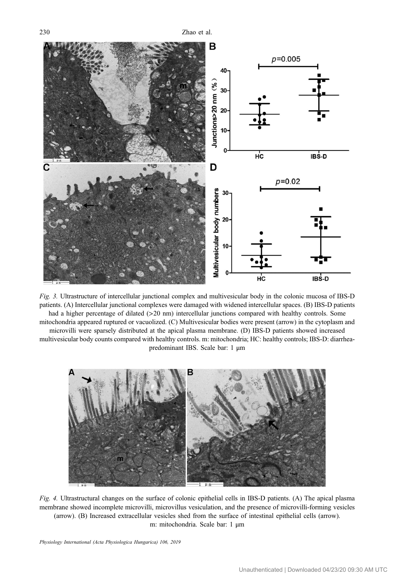<span id="page-5-0"></span>



had a higher percentage of dilated (>20 nm) intercellular junctions compared with healthy controls. Some mitochondria appeared ruptured or vacuolized. (C) Multivesicular bodies were present (arrow) in the cytoplasm and

microvilli were sparsely distributed at the apical plasma membrane. (D) IBS-D patients showed increased multivesicular body counts compared with healthy controls. m: mitochondria; HC: healthy controls; IBS-D: diarrheapredominant IBS. Scale bar: 1 μm



Fig. 4. Ultrastructural changes on the surface of colonic epithelial cells in IBS-D patients. (A) The apical plasma membrane showed incomplete microvilli, microvillus vesiculation, and the presence of microvilli-forming vesicles (arrow). (B) Increased extracellular vesicles shed from the surface of intestinal epithelial cells (arrow). m: mitochondria. Scale bar: 1 μm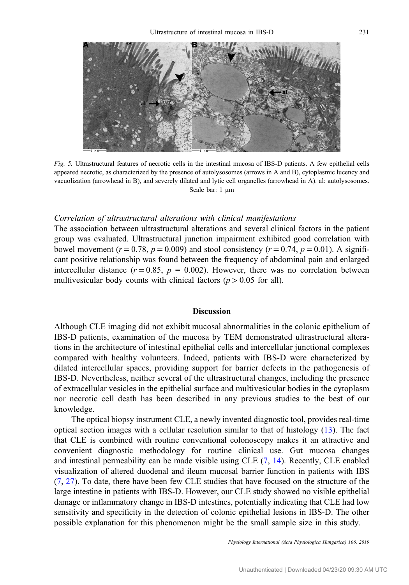<span id="page-6-0"></span>

Fig. 5. Ultrastructural features of necrotic cells in the intestinal mucosa of IBS-D patients. A few epithelial cells appeared necrotic, as characterized by the presence of autolysosomes (arrows in A and B), cytoplasmic lucency and vacuolization (arrowhead in B), and severely dilated and lytic cell organelles (arrowhead in A). al: autolysosomes. Scale bar: 1 μm

### Correlation of ultrastructural alterations with clinical manifestations

The association between ultrastructural alterations and several clinical factors in the patient group was evaluated. Ultrastructural junction impairment exhibited good correlation with bowel movement ( $r = 0.78$ ,  $p = 0.009$ ) and stool consistency ( $r = 0.74$ ,  $p = 0.01$ ). A significant positive relationship was found between the frequency of abdominal pain and enlarged intercellular distance  $(r = 0.85, p = 0.002)$ . However, there was no correlation between multivesicular body counts with clinical factors  $(p > 0.05$  for all).

#### **Discussion**

Although CLE imaging did not exhibit mucosal abnormalities in the colonic epithelium of IBS-D patients, examination of the mucosa by TEM demonstrated ultrastructural alterations in the architecture of intestinal epithelial cells and intercellular junctional complexes compared with healthy volunteers. Indeed, patients with IBS-D were characterized by dilated intercellular spaces, providing support for barrier defects in the pathogenesis of IBS-D. Nevertheless, neither several of the ultrastructural changes, including the presence of extracellular vesicles in the epithelial surface and multivesicular bodies in the cytoplasm nor necrotic cell death has been described in any previous studies to the best of our knowledge.

The optical biopsy instrument CLE, a newly invented diagnostic tool, provides real-time optical section images with a cellular resolution similar to that of histology [\(13](#page-9-0)). The fact that CLE is combined with routine conventional colonoscopy makes it an attractive and convenient diagnostic methodology for routine clinical use. Gut mucosa changes and intestinal permeability can be made visible using CLE  $(7, 14)$  $(7, 14)$  $(7, 14)$  $(7, 14)$  $(7, 14)$ . Recently, CLE enabled visualization of altered duodenal and ileum mucosal barrier function in patients with IBS [\(7](#page-9-0), [27\)](#page-10-0). To date, there have been few CLE studies that have focused on the structure of the large intestine in patients with IBS-D. However, our CLE study showed no visible epithelial damage or inflammatory change in IBS-D intestines, potentially indicating that CLE had low sensitivity and specificity in the detection of colonic epithelial lesions in IBS-D. The other possible explanation for this phenomenon might be the small sample size in this study.

Physiology International (Acta Physiologica Hungarica) 106, 2019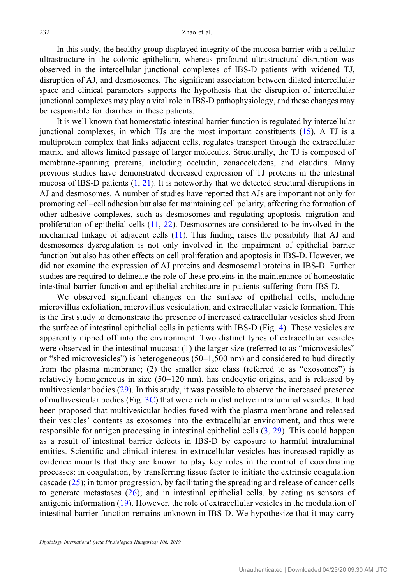In this study, the healthy group displayed integrity of the mucosa barrier with a cellular ultrastructure in the colonic epithelium, whereas profound ultrastructural disruption was observed in the intercellular junctional complexes of IBS-D patients with widened TJ, disruption of AJ, and desmosomes. The significant association between dilated intercellular space and clinical parameters supports the hypothesis that the disruption of intercellular junctional complexes may play a vital role in IBS-D pathophysiology, and these changes may be responsible for diarrhea in these patients.

It is well-known that homeostatic intestinal barrier function is regulated by intercellular junctional complexes, in which TJs are the most important constituents ([15\)](#page-9-0). A TJ is a multiprotein complex that links adjacent cells, regulates transport through the extracellular matrix, and allows limited passage of larger molecules. Structurally, the TJ is composed of membrane-spanning proteins, including occludin, zonaoccludens, and claudins. Many previous studies have demonstrated decreased expression of TJ proteins in the intestinal mucosa of IBS-D patients  $(1, 21)$  $(1, 21)$  $(1, 21)$  $(1, 21)$ . It is noteworthy that we detected structural disruptions in AJ and desmosomes. A number of studies have reported that AJs are important not only for promoting cell–cell adhesion but also for maintaining cell polarity, affecting the formation of other adhesive complexes, such as desmosomes and regulating apoptosis, migration and proliferation of epithelial cells ([11,](#page-9-0) [22\)](#page-9-0). Desmosomes are considered to be involved in the mechanical linkage of adjacent cells ([11\)](#page-9-0). This finding raises the possibility that AJ and desmosomes dysregulation is not only involved in the impairment of epithelial barrier function but also has other effects on cell proliferation and apoptosis in IBS-D. However, we did not examine the expression of AJ proteins and desmosomal proteins in IBS-D. Further studies are required to delineate the role of these proteins in the maintenance of homeostatic intestinal barrier function and epithelial architecture in patients suffering from IBS-D.

We observed significant changes on the surface of epithelial cells, including microvillus exfoliation, microvillus vesiculation, and extracellular vesicle formation. This is the first study to demonstrate the presence of increased extracellular vesicles shed from the surface of intestinal epithelial cells in patients with IBS-D (Fig. [4\)](#page-5-0). These vesicles are apparently nipped off into the environment. Two distinct types of extracellular vesicles were observed in the intestinal mucosa: (1) the larger size (referred to as "microvesicles" or "shed microvesicles") is heterogeneous (50–1,500 nm) and considered to bud directly from the plasma membrane; (2) the smaller size class (referred to as "exosomes") is relatively homogeneous in size (50–120 nm), has endocytic origins, and is released by multivesicular bodies ([29\)](#page-10-0). In this study, it was possible to observe the increased presence of multivesicular bodies (Fig. [3C\)](#page-5-0) that were rich in distinctive intraluminal vesicles. It had been proposed that multivesicular bodies fused with the plasma membrane and released their vesicles' contents as exosomes into the extracellular environment, and thus were responsible for antigen processing in intestinal epithelial cells [\(3](#page-9-0), [29](#page-10-0)). This could happen as a result of intestinal barrier defects in IBS-D by exposure to harmful intraluminal entities. Scientific and clinical interest in extracellular vesicles has increased rapidly as evidence mounts that they are known to play key roles in the control of coordinating processes: in coagulation, by transferring tissue factor to initiate the extrinsic coagulation cascade  $(25)$ ; in tumor progression, by facilitating the spreading and release of cancer cells to generate metastases ([26](#page-10-0)); and in intestinal epithelial cells, by acting as sensors of antigenic information ([19\)](#page-9-0). However, the role of extracellular vesicles in the modulation of intestinal barrier function remains unknown in IBS-D. We hypothesize that it may carry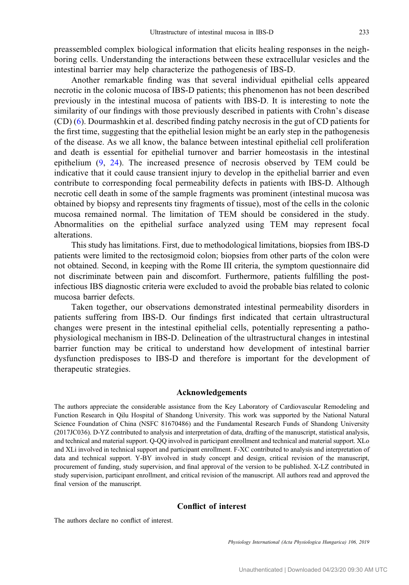preassembled complex biological information that elicits healing responses in the neighboring cells. Understanding the interactions between these extracellular vesicles and the intestinal barrier may help characterize the pathogenesis of IBS-D.

Another remarkable finding was that several individual epithelial cells appeared necrotic in the colonic mucosa of IBS-D patients; this phenomenon has not been described previously in the intestinal mucosa of patients with IBS-D. It is interesting to note the similarity of our findings with those previously described in patients with Crohn's disease (CD) [\(6](#page-9-0)). Dourmashkin et al. described finding patchy necrosis in the gut of CD patients for the first time, suggesting that the epithelial lesion might be an early step in the pathogenesis of the disease. As we all know, the balance between intestinal epithelial cell proliferation and death is essential for epithelial turnover and barrier homeostasis in the intestinal epithelium ([9](#page-9-0), [24](#page-10-0)). The increased presence of necrosis observed by TEM could be indicative that it could cause transient injury to develop in the epithelial barrier and even contribute to corresponding focal permeability defects in patients with IBS-D. Although necrotic cell death in some of the sample fragments was prominent (intestinal mucosa was obtained by biopsy and represents tiny fragments of tissue), most of the cells in the colonic mucosa remained normal. The limitation of TEM should be considered in the study. Abnormalities on the epithelial surface analyzed using TEM may represent focal alterations.

This study has limitations. First, due to methodological limitations, biopsies from IBS-D patients were limited to the rectosigmoid colon; biopsies from other parts of the colon were not obtained. Second, in keeping with the Rome III criteria, the symptom questionnaire did not discriminate between pain and discomfort. Furthermore, patients fulfilling the postinfectious IBS diagnostic criteria were excluded to avoid the probable bias related to colonic mucosa barrier defects.

Taken together, our observations demonstrated intestinal permeability disorders in patients suffering from IBS-D. Our findings first indicated that certain ultrastructural changes were present in the intestinal epithelial cells, potentially representing a pathophysiological mechanism in IBS-D. Delineation of the ultrastructural changes in intestinal barrier function may be critical to understand how development of intestinal barrier dysfunction predisposes to IBS-D and therefore is important for the development of therapeutic strategies.

### Acknowledgements

The authors appreciate the considerable assistance from the Key Laboratory of Cardiovascular Remodeling and Function Research in Qilu Hospital of Shandong University. This work was supported by the National Natural Science Foundation of China (NSFC 81670486) and the Fundamental Research Funds of Shandong University (2017JC036). D-YZ contributed to analysis and interpretation of data, drafting of the manuscript, statistical analysis, and technical and material support. Q-QQ involved in participant enrollment and technical and material support. XLo and XLi involved in technical support and participant enrollment. F-XC contributed to analysis and interpretation of data and technical support. Y-BY involved in study concept and design, critical revision of the manuscript, procurement of funding, study supervision, and final approval of the version to be published. X-LZ contributed in study supervision, participant enrollment, and critical revision of the manuscript. All authors read and approved the final version of the manuscript.

### Conflict of interest

The authors declare no conflict of interest.

Physiology International (Acta Physiologica Hungarica) 106, 2019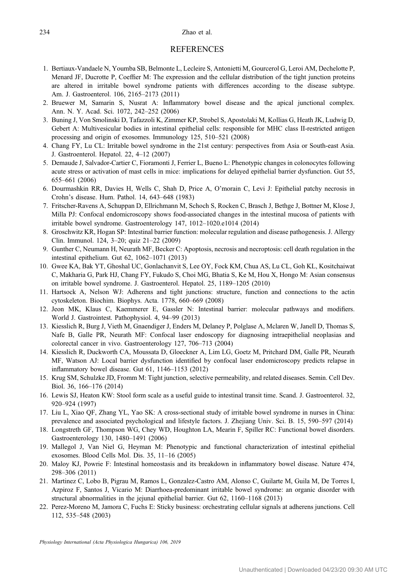#### <span id="page-9-0"></span>234 Zhao et al.

#### **REFERENCES**

- 1. Bertiaux-Vandaele N, Youmba SB, Belmonte L, Lecleire S, Antonietti M, Gourcerol G, Leroi AM, Dechelotte P, Menard JF, Ducrotte P, Coeffier M: The expression and the cellular distribution of the tight junction proteins are altered in irritable bowel syndrome patients with differences according to the disease subtype. Am. J. Gastroenterol. 106, 2165–2173 (2011)
- 2. Bruewer M, Samarin S, Nusrat A: Inflammatory bowel disease and the apical junctional complex. Ann. N. Y. Acad. Sci. 1072, 242–252 (2006)
- 3. Buning J, Von Smolinski D, Tafazzoli K, Zimmer KP, Strobel S, Apostolaki M, Kollias G, Heath JK, Ludwig D, Gebert A: Multivesicular bodies in intestinal epithelial cells: responsible for MHC class II-restricted antigen processing and origin of exosomes. Immunology 125, 510–521 (2008)
- 4. Chang FY, Lu CL: Irritable bowel syndrome in the 21st century: perspectives from Asia or South-east Asia. J. Gastroenterol. Hepatol. 22, 4–12 (2007)
- 5. Demaude J, Salvador-Cartier C, Fioramonti J, Ferrier L, Bueno L: Phenotypic changes in colonocytes following acute stress or activation of mast cells in mice: implications for delayed epithelial barrier dysfunction. Gut 55, 655–661 (2006)
- 6. Dourmashkin RR, Davies H, Wells C, Shah D, Price A, O'morain C, Levi J: Epithelial patchy necrosis in Crohn's disease. Hum. Pathol. 14, 643–648 (1983)
- 7. Fritscher-Ravens A, Schuppan D, Ellrichmann M, Schoch S, Rocken C, Brasch J, Bethge J, Bottner M, Klose J, Milla PJ: Confocal endomicroscopy shows food-associated changes in the intestinal mucosa of patients with irritable bowel syndrome. Gastroenterology 147, 1012–1020.e1014 (2014)
- 8. Groschwitz KR, Hogan SP: Intestinal barrier function: molecular regulation and disease pathogenesis. J. Allergy Clin. Immunol. 124, 3–20; quiz 21–22 (2009)
- 9. Gunther C, Neumann H, Neurath MF, Becker C: Apoptosis, necrosis and necroptosis: cell death regulation in the intestinal epithelium. Gut 62, 1062–1071 (2013)
- 10. Gwee KA, Bak YT, Ghoshal UC, Gonlachanvit S, Lee OY, Fock KM, Chua AS, Lu CL, Goh KL, Kositchaiwat C, Makharia G, Park HJ, Chang FY, Fukudo S, Choi MG, Bhatia S, Ke M, Hou X, Hongo M: Asian consensus on irritable bowel syndrome. J. Gastroenterol. Hepatol. 25, 1189–1205 (2010)
- 11. Hartsock A, Nelson WJ: Adherens and tight junctions: structure, function and connections to the actin cytoskeleton. Biochim. Biophys. Acta. 1778, 660–669 (2008)
- 12. Jeon MK, Klaus C, Kaemmerer E, Gassler N: Intestinal barrier: molecular pathways and modifiers. World J. Gastrointest. Pathophysiol. 4, 94–99 (2013)
- 13. Kiesslich R, Burg J, Vieth M, Gnaendiger J, Enders M, Delaney P, Polglase A, Mclaren W, Janell D, Thomas S, Nafe B, Galle PR, Neurath MF: Confocal laser endoscopy for diagnosing intraepithelial neoplasias and colorectal cancer in vivo. Gastroenterology 127, 706–713 (2004)
- 14. Kiesslich R, Duckworth CA, Moussata D, Gloeckner A, Lim LG, Goetz M, Pritchard DM, Galle PR, Neurath MF, Watson AJ: Local barrier dysfunction identified by confocal laser endomicroscopy predicts relapse in inflammatory bowel disease. Gut 61, 1146–1153 (2012)
- 15. Krug SM, Schulzke JD, Fromm M: Tight junction, selective permeability, and related diseases. Semin. Cell Dev. Biol. 36, 166–176 (2014)
- 16. Lewis SJ, Heaton KW: Stool form scale as a useful guide to intestinal transit time. Scand. J. Gastroenterol. 32, 920–924 (1997)
- 17. Liu L, Xiao QF, Zhang YL, Yao SK: A cross-sectional study of irritable bowel syndrome in nurses in China: prevalence and associated psychological and lifestyle factors. J. Zhejiang Univ. Sci. B. 15, 590–597 (2014)
- 18. Longstreth GF, Thompson WG, Chey WD, Houghton LA, Mearin F, Spiller RC: Functional bowel disorders. Gastroenterology 130, 1480–1491 (2006)
- 19. Mallegol J, Van Niel G, Heyman M: Phenotypic and functional characterization of intestinal epithelial exosomes. Blood Cells Mol. Dis. 35, 11–16 (2005)
- 20. Maloy KJ, Powrie F: Intestinal homeostasis and its breakdown in inflammatory bowel disease. Nature 474, 298–306 (2011)
- 21. Martinez C, Lobo B, Pigrau M, Ramos L, Gonzalez-Castro AM, Alonso C, Guilarte M, Guila M, De Torres I, Azpiroz F, Santos J, Vicario M: Diarrhoea-predominant irritable bowel syndrome: an organic disorder with structural abnormalities in the jejunal epithelial barrier. Gut 62, 1160–1168 (2013)
- 22. Perez-Moreno M, Jamora C, Fuchs E: Sticky business: orchestrating cellular signals at adherens junctions. Cell 112, 535–548 (2003)